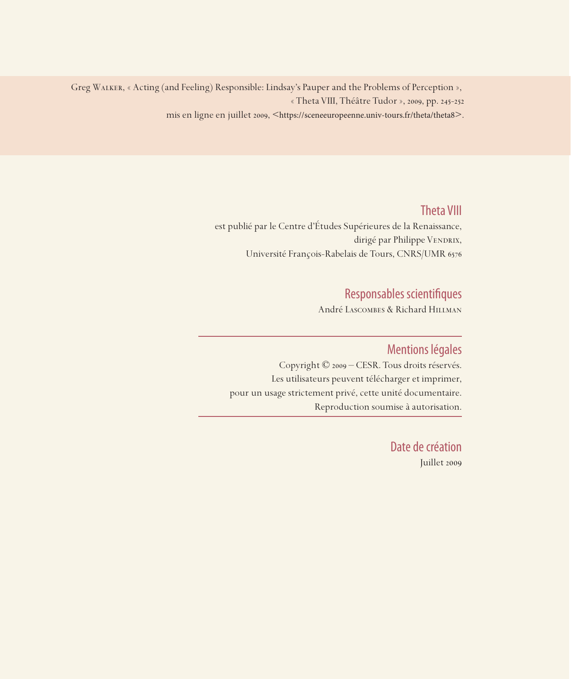Greg Walker, « Acting (and Feeling) Responsible: Lindsay's Pauper and the Problems of Perception », « Theta VIII, Théâtre Tudor », 2009, pp. 245-252

mis en ligne en juillet 2009, <https://sceneeuropeenne.univ-tours.fr/theta/theta8>.

## Theta VIII

est publié par le Centre d'Études Supérieures de la Renaissance, dirigé par Philippe VENDRIX, Université François-Rabelais de Tours, CNRS/UMR 6576

# Responsables scientifiques

André Lascombes & Richard Hillman

## Mentions légales

Copyright © 2009 – CESR. Tous droits réservés. Les utilisateurs peuvent télécharger et imprimer, pour un usage strictement privé, cette unité documentaire. Reproduction soumise à autorisation.

> Date de création Juillet 2009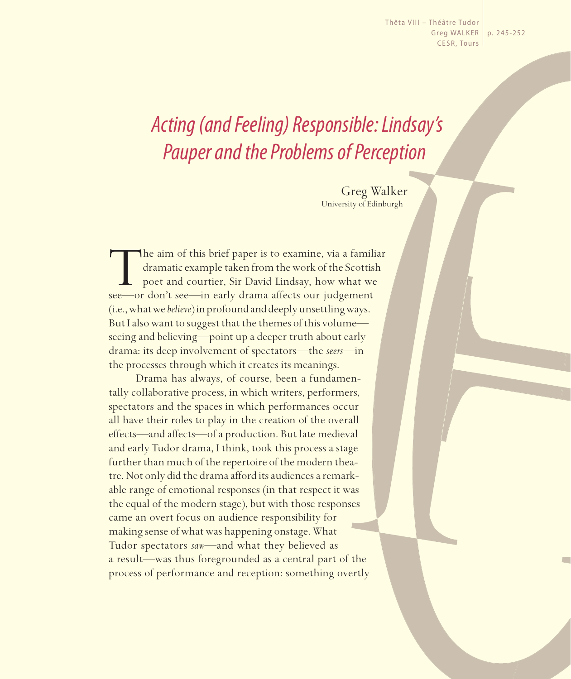Thêta VIII - Théâtre Tudor Greg WALKER | p. 245-252 CESR, Tours

# *Acting (and Feeling) Responsible: Lindsay's Pauper and the Problems of Perception*

Greg Walker University of Edinburgh

The aim of this brief paper is to examine, via a familiar dramatic example taken from the work of the Scottish poet and courtier, Sir David Lindsay, how what we see—or don't see—in early drama affects our judgement dramatic example taken from the work of the Scottish poet and courtier, Sir David Lindsay, how what we see—or don't see—in early drama affects our judgement (i.e., what we *believe*) in profound and deeply unsettling ways. But I also want to suggest that the themes of this volume seeing and believing—point up a deeper truth about early drama: its deep involvement of spectators—the *seers—*in the processes through which it creates its meanings.

Drama has always, of course, been a fundamentally collaborative process, in which writers, performers, spectators and the spaces in which performances occur all have their roles to play in the creation of the overall effects—and affects—of a production. But late medieval and early Tudor drama, I think, took this process a stage further than much of the repertoire of the modern theatre. Not only did the drama afford its audiences a remarkable range of emotional responses (in that respect it was the equal of the modern stage), but with those responses came an overt focus on audience responsibility for making sense of what was happening onstage. What Tudor spectators *saw*—and what they believed as a result—was thus foregrounded as a central part of the process of performance and reception: something overtly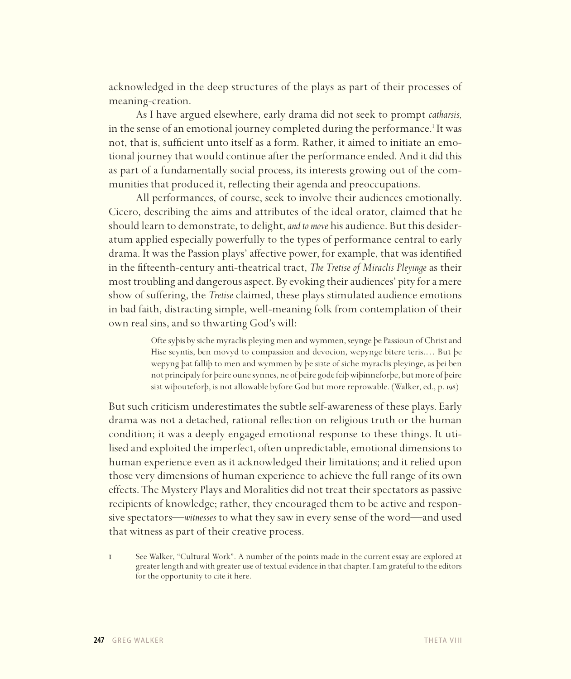acknowledged in the deep structures of the plays as part of their processes of meaning-creation.

As I have argued elsewhere, early drama did not seek to prompt *catharsis,* in the sense of an emotional journey completed during the performance.<sup>1</sup> It was not, that is, sufficient unto itself as a form. Rather, it aimed to initiate an emotional journey that would continue after the performance ended. And it did this as part of a fundamentally social process, its interests growing out of the communities that produced it, reflecting their agenda and preoccupations.

All performances, of course, seek to involve their audiences emotionally. Cicero, describing the aims and attributes of the ideal orator, claimed that he should learn to demonstrate, to delight, *and to move* his audience. But this desideratum applied especially powerfully to the types of performance central to early drama. It was the Passion plays' affective power, for example, that was identified in the fifteenth-century anti-theatrical tract, *The Tretise of Miraclis Pleyinge* as their most troubling and dangerous aspect. By evoking their audiences' pity for a mere show of suffering, the *Tretise* claimed, these plays stimulated audience emotions in bad faith, distracting simple, well-meaning folk from contemplation of their own real sins, and so thwarting God's will:

> Ofte syþis by siche myraclis pleying men and wymmen, seynge þe Passioun of Christ and Hise seyntis, ben movyd to compassion and devocion, wepynge bitere teris.… But þe wepyng þat falliþ to men and wymmen by þe siзte of siche myraclis pleyinge, as þei ben not principaly for þeire oune synnes, ne of þeire gode feiþ wiþinneforþe, but more of þeire siзt wiþouteforþ, is not allowable byfore God but more reprowable. (Walker, ed., p. 198)

But such criticism underestimates the subtle self-awareness of these plays. Early drama was not a detached, rational reflection on religious truth or the human condition; it was a deeply engaged emotional response to these things. It utilised and exploited the imperfect, often unpredictable, emotional dimensions to human experience even as it acknowledged their limitations; and it relied upon those very dimensions of human experience to achieve the full range of its own effects. The Mystery Plays and Moralities did not treat their spectators as passive recipients of knowledge; rather, they encouraged them to be active and responsive spectators—*witnesses* to what they saw in every sense of the word—and used that witness as part of their creative process.

1 See Walker, "Cultural Work". A number of the points made in the current essay are explored at greater length and with greater use of textual evidence in that chapter. Iam grateful to the editors for the opportunity to cite it here.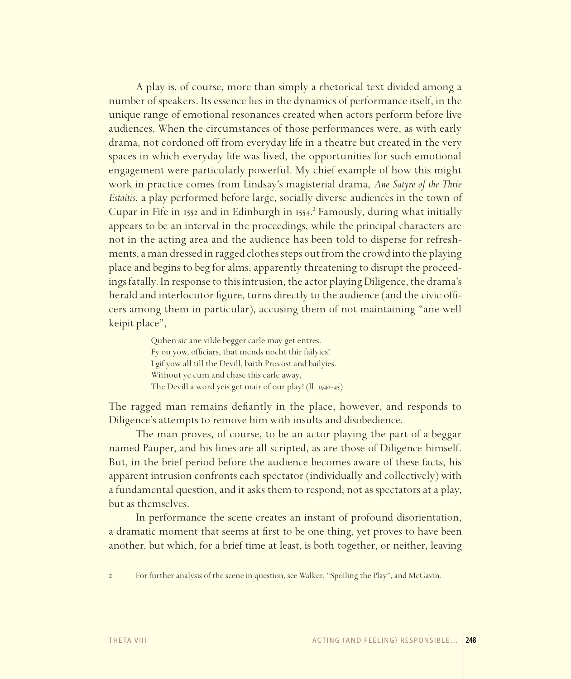A play is, of course, more than simply a rhetorical text divided among a number of speakers. Its essence lies in the dynamics of performance itself, in the unique range of emotional resonances created when actors perform before live audiences. When the circumstances of those performances were, as with early drama, not cordoned off from everyday life in a theatre but created in the very spaces in which everyday life was lived, the opportunities for such emotional engagement were particularly powerful. My chief example of how this might work in practice comes from Lindsay's magisterial drama, *Ane Satyre of the Thrie Estaitis*, a play performed before large, socially diverse audiences in the town of Cupar in Fife in 1552 and in Edinburgh in 1554. 2 Famously, during what initially appears to be an interval in the proceedings, while the principal characters are not in the acting area and the audience has been told to disperse for refreshments, a man dressed in ragged clothes steps out from the crowd into the playing place and begins to beg for alms, apparently threatening to disrupt the proceedings fatally. In response to this intrusion, the actor playing Diligence, the drama's herald and interlocutor figure, turns directly to the audience (and the civic officers among them in particular), accusing them of not maintaining "ane well keipit place",

> Quhen sic ane vilde begger carle may get entres. Fy on yow, officiars, that mends nocht thir failyies! I gif yow all till the Devill, baith Provost and bailyies. Without ye cum and chase this carle away, The Devill a word yeis get mair of our play! (ll. 1940-45)

The ragged man remains defiantly in the place, however, and responds to Diligence's attempts to remove him with insults and disobedience.

The man proves, of course, to be an actor playing the part of a beggar named Pauper, and his lines are all scripted, as are those of Diligence himself. But, in the brief period before the audience becomes aware of these facts, his apparent intrusion confronts each spectator (individually and collectively) with a fundamental question, and it asks them to respond, not as spectators at a play, but as themselves.

In performance the scene creates an instant of profound disorientation, a dramatic moment that seems at first to be one thing, yet proves to have been another, but which, for a brief time at least, is both together, or neither, leaving

<sup>2</sup> For further analysis of the scene in question, see Walker, "Spoiling the Play", and McGavin.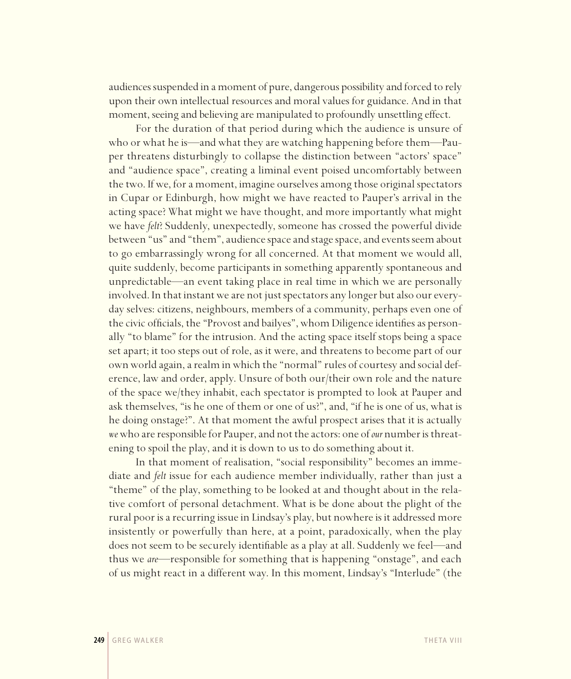audiences suspended in a moment of pure, dangerous possibility and forced to rely upon their own intellectual resources and moral values for guidance. And in that moment, seeing and believing are manipulated to profoundly unsettling effect.

For the duration of that period during which the audience is unsure of who or what he is—and what they are watching happening before them—Pauper threatens disturbingly to collapse the distinction between "actors' space" and "audience space", creating a liminal event poised uncomfortably between the two. If we, for a moment, imagine ourselves among those original spectators in Cupar or Edinburgh, how might we have reacted to Pauper's arrival in the acting space? What might we have thought, and more importantly what might we have *felt*? Suddenly, unexpectedly, someone has crossed the powerful divide between "us" and "them", audience space and stage space, and events seem about to go embarrassingly wrong for all concerned. At that moment we would all, quite suddenly, become participants in something apparently spontaneous and unpredictable—an event taking place in real time in which we are personally involved. In that instant we are not just spectators any longer but also our everyday selves: citizens, neighbours, members of a community, perhaps even one of the civic officials, the "Provost and bailyes", whom Diligence identifies as personally "to blame" for the intrusion. And the acting space itself stops being a space set apart; it too steps out of role, as it were, and threatens to become part of our own world again, a realm in which the "normal" rules of courtesy and social deference, law and order, apply. Unsure of both our/their own role and the nature of the space we/they inhabit, each spectator is prompted to look at Pauper and ask themselves, "is he one of them or one of us?", and, "if he is one of us, what is he doing onstage?". At that moment the awful prospect arises that it is actually *we* who are responsible for Pauper, and not the actors: one of *our* number is threatening to spoil the play, and it is down to us to do something about it.

In that moment of realisation, "social responsibility" becomes an immediate and *felt* issue for each audience member individually, rather than just a "theme" of the play, something to be looked at and thought about in the relative comfort of personal detachment. What is be done about the plight of the rural poor is a recurring issue in Lindsay's play, but nowhere is it addressed more insistently or powerfully than here, at a point, paradoxically, when the play does not seem to be securely identifiable as a play at all. Suddenly we feel—and thus we *are*—responsible for something that is happening "onstage", and each of us might react in a different way. In this moment, Lindsay's "Interlude" (the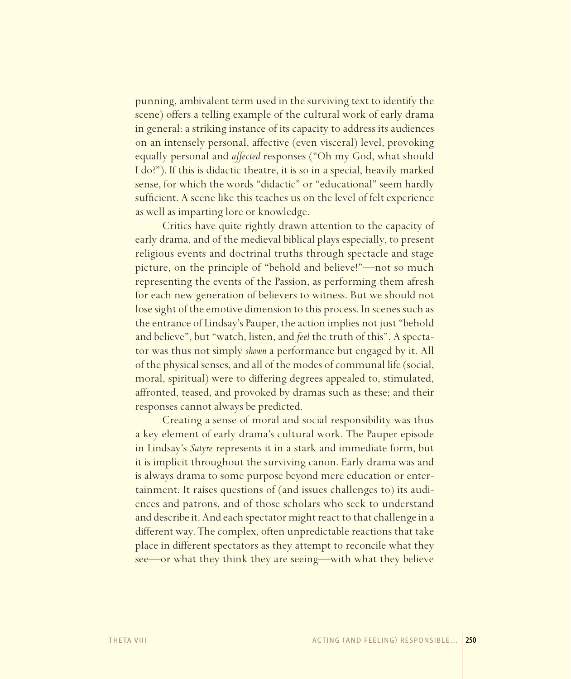punning, ambivalent term used in the surviving text to identify the scene) offers a telling example of the cultural work of early drama in general: a striking instance of its capacity to address its audiences on an intensely personal, affective (even visceral) level, provoking equally personal and *affected* responses ("Oh my God, what should I do?"). If this is didactic theatre, it is so in a special, heavily marked sense, for which the words "didactic" or "educational" seem hardly sufficient. A scene like this teaches us on the level of felt experience as well as imparting lore or knowledge.

Critics have quite rightly drawn attention to the capacity of early drama, and of the medieval biblical plays especially, to present religious events and doctrinal truths through spectacle and stage picture, on the principle of "behold and believe!"—not so much representing the events of the Passion, as performing them afresh for each new generation of believers to witness. But we should not lose sight of the emotive dimension to this process. In scenes such as the entrance of Lindsay's Pauper, the action implies not just "behold and believe", but "watch, listen, and *feel* the truth of this". A spectator was thus not simply *shown* a performance but engaged by it. All of the physical senses, and all of the modes of communal life (social, moral, spiritual) were to differing degrees appealed to, stimulated, affronted, teased, and provoked by dramas such as these; and their responses cannot always be predicted.

Creating a sense of moral and social responsibility was thus a key element of early drama's cultural work. The Pauper episode in Lindsay's *Satyre* represents it in a stark and immediate form, but it is implicit throughout the surviving canon. Early drama was and is always drama to some purpose beyond mere education or entertainment. It raises questions of (and issues challenges to) its audiences and patrons, and of those scholars who seek to understand and describe it. And each spectator might react to that challenge in a different way. The complex, often unpredictable reactions that take place in different spectators as they attempt to reconcile what they see—or what they think they are seeing—with what they believe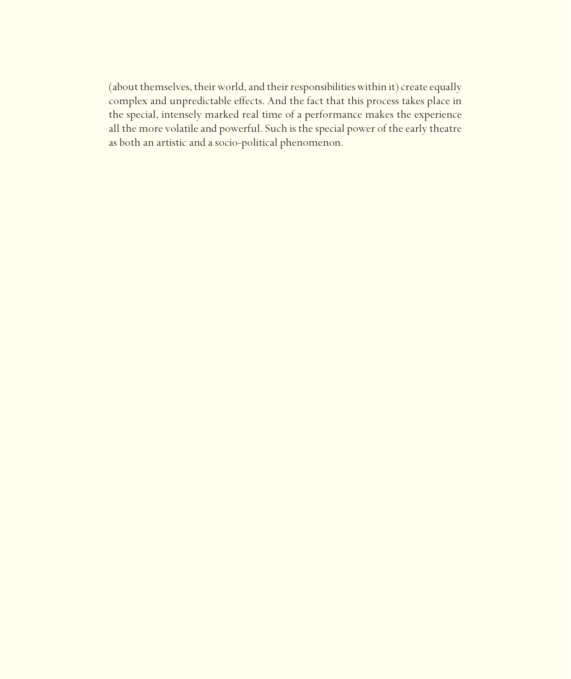(about themselves, their world, and their responsibilities within it) create equally complex and unpredictable effects. And the fact that this process takes place in the special, intensely marked real time of a performance makes the experience all the more volatile and powerful. Such is the special power of the early theatre as both an artistic and a socio-political phenomenon.